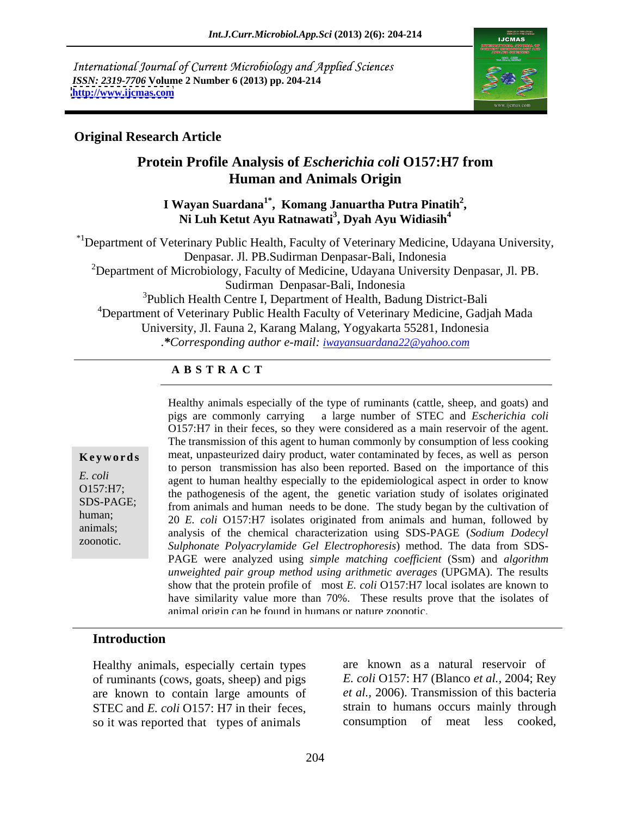International Journal of Current Microbiology and Applied Sciences *ISSN: 2319-7706* **Volume 2 Number 6 (2013) pp. 204-214 <http://www.ijcmas.com>**



### **Original Research Article**

# **Protein Profile Analysis of** *Escherichia coli* **O157:H7 from Human and Animals Origin**

**I Wayan Suardana1\*, Komang Januartha Putra Pinatih2** Ni Luh Ketut Ayu Ratnawati<sup>3</sup>, Dyah Ayu Widiasih<sup>4</sup> **, Dyah Ayu Widiasih<sup>4</sup>**

\*1Department of Veterinary Public Health, Faculty of Veterinary Medicine, Udayana University, Denpasar. Jl. PB.Sudirman Denpasar-Bali, Indonesia

<sup>2</sup>Department of Microbiology, Faculty of Medicine, Udayana University Denpasar, Jl. PB. Sudirman Denpasar-Bali, Indonesia

<sup>3</sup>Publich Health Centre I, Department of Health, Badung District-Bali 4Department of Veterinary Public Health Faculty of Veterinary Medicine, Gadjah Mada University, Jl. Fauna 2, Karang Malang, Yogyakarta 55281, Indonesia .*\*Corresponding author e-mail: iwayansuardana22@yahoo.com*

### **A B S T R A C T**

**Keywords** meat, unpasteurized dairy product, water contaminated by feces, as well as person *E. coli*<br>
agent to human healthy especially to the epidemiological aspect in order to know O157:H7; the pathogenesis of the agent, the genetic variation study of isolates originated SDS-PAGE; from animals and human needs to be done. The study began by the cultivation of human; 20 *E. coli* O157:H7 isolates originated from animals and human, followed by animals; analysis of the chemical characterization using SDS-PAGE (*Sodium Dodecyl* zoonotic. *Sulphonate Polyacrylamide Gel Electrophoresis*) method. The data from SDS- Healthy animals especially of the type ofruminants (cattle, sheep, and goats) and pigs are commonly carrying a large number of STEC and *Escherichia coli* O157:H7 in their feces, so they were considered as a main reservoir of the agent. The transmission of this agent to human commonly by consumption of less cooking to person transmission has also been reported. Based on the importance of this PAGE were analyzed using *simple matching coefficient* (Ssm) and *algorithm unweighted pair group method using arithmeticaverages* (UPGMA). The results show that the protein profile of most *E. coli* O157:H7 local isolates are known to have similarity value more than 70%. These results prove that the isolates of animal origin can be found in humans or nature zoonotic.

### **Introduction**

Healthy animals, especially certain types of ruminants (cows, goats, sheep) and pigs are known to contain large amounts of STEC and *E. coli* O157: H7 in their feces, strain to humans occurs mainly through so it was reported that types of animals consumption of meat less cooked, so it was reported that types of animals

are known as a natural reservoir of *E. coli* O157: H7 (Blanco *et al.,* 2004; Rey *et al.,* 2006). Transmission of this bacteria strain to humans occurs mainly through consumption of meat less cooked,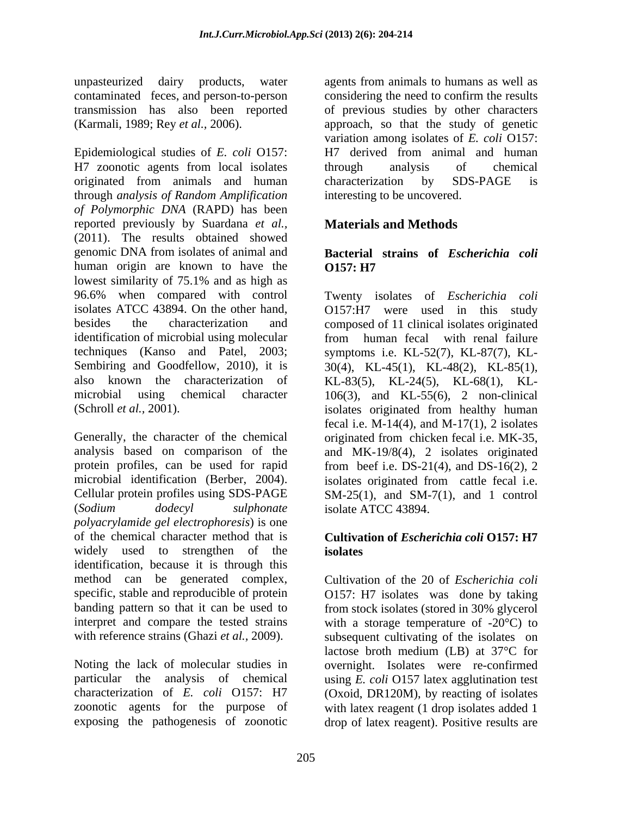contaminated feces, and person-to-person

Epidemiological studies of *E. coli* O157: H7 zoonotic agents from local isolates originated from animals and human characterization by SDS-PAGE is through *analysis of Random Amplification of Polymorphic DNA* (RAPD) has been reported previously by Suardana *et al.,* (2011). The results obtained showed genomic DNA from isolates of animal and **Bacterial strains of** *Escherichia coli* human origin are known to have the  $O157: H7$ lowest similarity of 75.1% and as high as 96.6% when compared with control Twenty isolates of *Escherichia coli* isolates ATCC 43894. On the other hand, O157:H7 were used in this study besides the characterization and composed of 11 clinical isolates originated identification of microbial using molecular from human fecal with renal failure techniques (Kanso and Patel, 2003; symptoms i.e. KL-52(7), KL-87(7), KL- Sembiring and Goodfellow, 2010), it is  $30(4)$ , KL-45(1), KL-48(2), KL-85(1), also known the characterization of KL-83(5), KL-24(5), KL-68(1), KL microbial using chemical character 106(3), and KL-55(6), 2 non-clinical

Generally, the character of the chemical originated from chicken fecal i.e. MK-35, analysis based on comparison of the and MK-19/8(4), 2 isolates originated protein profiles, can be used for rapid from beef i.e. DS-21(4), and DS-16(2), 2 microbial identification (Berber, 2004). isolates originated from cattle fecal i.e. Cellular protein profiles using SDS-PAGE SM-25(1), and SM-7(1), and 1 control (*Sodium dodecyl sulphonate polyacrylamide gel electrophoresis*) is one of the chemical character method that is widely used to strengthen of the **isolates** identification, because it is through this method can be generated complex, specific, stable and reproducible of protein O157: H7 isolates was done by taking banding pattern so that it can be used to from stock isolates (stored in 30% glycerol interpret and compare the tested strains with a storage temperature of -20°C) to

Noting the lack of molecular studies in overnight. Isolates were re-confirmed particular the analysis of chemical using *E. coli* O157 latex agglutination test characterization of *E. coli* O157: H7 (Oxoid, DR120M), by reacting of isolates zoonotic agents for the purpose of with latex reagent (1 drop isolates added 1

unpasteurized dairy products, water agents from animals to humans as well as transmission has also been reported of previous studies by other characters (Karmali, 1989; Rey *et al.,* 2006). approach, so that the study of genetic considering the need to confirm the results variation among isolates of *E. coli* O157: H7 derived from animal and human through analysis of chemical characterization by SDS-PAGE is interesting to be uncovered.

# **Materials and Methods**

# **O157: H7**

(Schroll *et al.*, 2001). **isolates** originated from healthy human fecal i.e.  $M-14(4)$ , and  $M-17(1)$ , 2 isolates isolate ATCC 43894.

### **Cultivation of** *Escherichia coli* **O157: H7 isolates**

with reference strains (Ghazi *et al.*, 2009). Subsequent cultivating of the isolates on exposing the pathogenesis of zoonotic drop of latex reagent). Positive results areCultivation of the 20 of *Escherichia coli* lactose broth medium (LB) at 37°C for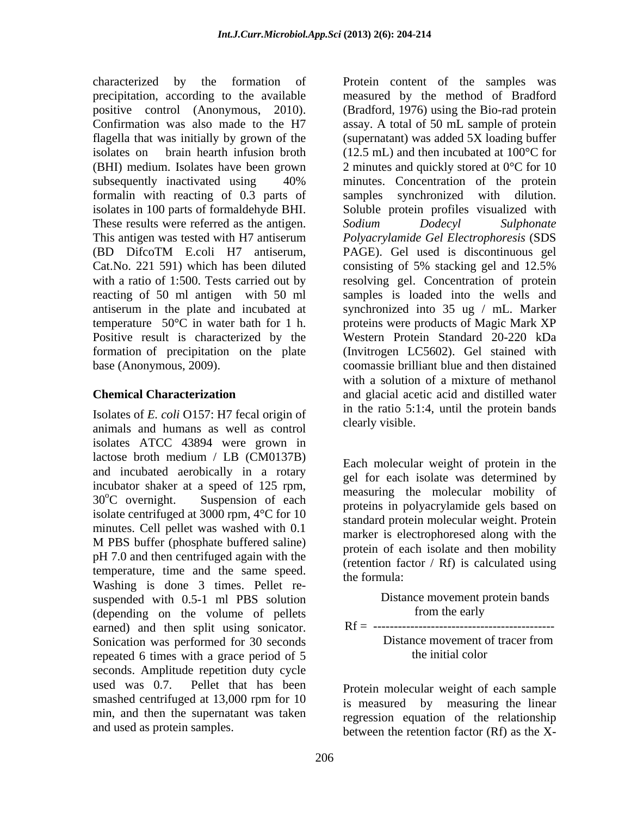precipitation, according to the available formalin with reacting of 0.3 parts of isolates in 100 parts of formaldehyde BHI. These results were referred as the antigen. Sodium Dodecyl Sulphonate Cat.No. 221 591) which has been diluted consisting of 5% stacking gel and 12.5%

Isolates of *E. coli* O157: H7 fecal origin of animals and humans as well as control isolates ATCC 43894 were grown in lactose broth medium / LB (CM0137B) and incubated aerobically in a rotary incubator shaker at a speed of 125 rpm, isolate centrifuged at 3000 rpm, 4°C for 10 minutes. Cell pellet was washed with 0.1 M PBS buffer (phosphate buffered saline) pH 7.0 and then centrifuged again with the temperature, time and the same speed. the formula: Washing is done 3 times. Pellet re suspended with 0.5-1 ml PBS solution<br>
(depending on the volume of pellets from the early (depending on the volume of pellets<br>earned) and then split using sonicator earned) and then split using sonicator. Sonication was performed for 30 seconds repeated 6 times with a grace period of 5 seconds. Amplitude repetition duty cycle used was 0.7. Pellet that has been smashed centrifuged at 13,000 rpm for  $10$  is measured by measuring the linear min, and then the supernatant was taken

characterized by the formation of Protein content of the samples was positive control (Anonymous, 2010). (Bradford, 1976) using the Bio-rad protein Confirmation was also made to the H7 assay. A total of 50 mL sample of protein flagella that was initially by grown of the (supernatant) was added 5X loading buffer isolates on brain hearth infusion broth (12.5 mL) and then incubated at 100°C for (BHI) medium. Isolates have been grown 2 minutes and quickly stored at 0°C for 10 subsequently inactivated using 40% minutes. Concentration of the protein This antigen was tested with H7 antiserum *Polyacrylamide Gel Electrophoresis* (SDS (BD DifcoTM E.coli H7 antiserum, with a ratio of 1:500. Tests carried out by resolving gel. Concentration of protein reacting of 50 ml antigen with 50 ml samples is loaded into the wells and antiserum in the plate and incubated at synchronized into 35 ug / mL. Marker temperature  $50^{\circ}$ C in water bath for 1 h. proteins were products of Magic Mark XP Positive result is characterized by the Western Protein Standard 20-220 kDa formation of precipitation on the plate (Invitrogen LC5602). Gel stained with base (Anonymous, 2009). coomassie brilliant blue and then distained **Chemical Characterization** and glacial acetic acid and distilled water measured by the method of Bradford minutes. Concentration of the protein samples synchronized with dilution. Soluble protein profiles visualized with *Sodium Dodecyl Sulphonate* PAGE). Gel used is discontinuous gel consisting of 5% stacking gel and 12.5% with a solution of a mixture of methanol in the ratio 5:1:4, until the protein bands clearly visible.

 $30^{\circ}$ C overnight. Suspension of each  $\frac{1}{20^{\circ} \text{C}}$  overnight. Suspension of each  $\frac{1}{20^{\circ} \text{C}}$  or  $\frac{1}{20^{\circ} \text{C}}$  overnight. Each molecular weight of protein in the gel for each isolate was determined by measuring the molecular mobility of proteins in polyacrylamide gels based on standard protein molecular weight. Protein marker is electrophoresed along with the protein of each isolate and then mobility (retention factor  $/$  Rf) is calculated using the formula:

> Distance movement protein bands from the early

$$
Rf =
$$
  
Distance movement of tracer from  
the initial color

and used as protein samples.<br>
between the retention factor (Rf) as the X-Protein molecular weight of each sample is measured by measuring the linear regression equation of the relationship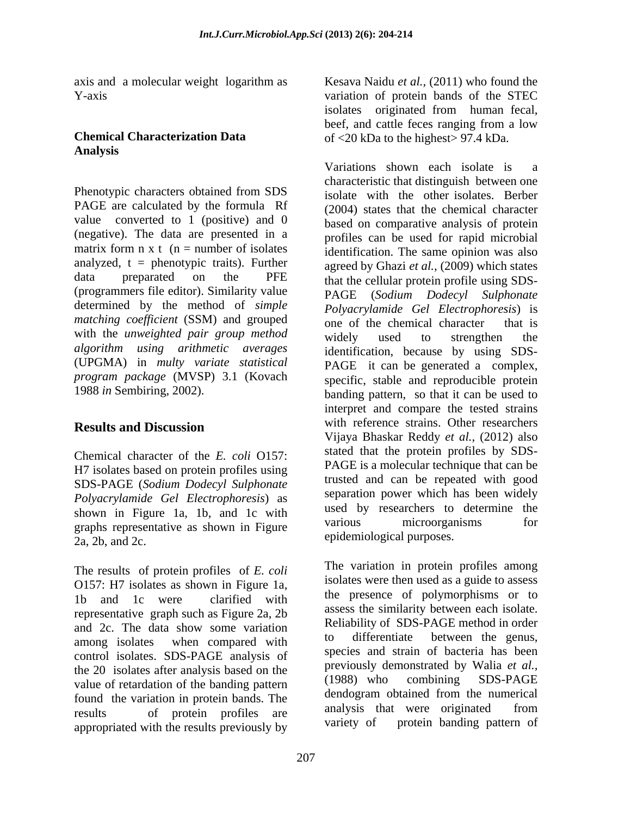# **Analysis**

PAGE are calculated by the formula Rf value converted to 1 (positive) and 0 (negative). The data are presented in a matrix form  $n \times t$  ( $n =$  number of isolates analyzed,  $t =$  phenotypic traits). Further (programmers file editor). Similarity value determined by the method of *simple matching coefficient* (SSM) and grouped one of the chemical character that is with the *unweighted pair group method* widely used to strengthen the (UPGMA) in *multy variate statistical program package* (MVSP) 3.1 (Kovach

Chemical character of the *E. coli* O157: H7 isolates based on protein profiles using SDS-PAGE (*Sodium Dodecyl Sulphonate Polyacrylamide Gel Electrophoresis*) as shown in Figure 1a, 1b, and 1c with used by researchers to determine the strength contract tive as shown in Figure and the various microorganisms for graphs representative as shown in Figure 2a, 2b, and 2c.

The results of protein profiles of *E. coli* O157: H7 isolates as shown in Figure 1a, 1b and 1c were clarified with the presence of polymorphisms or to representative graph such as Figure 2a, 2b and 2c. The data show some variation<br>compare isolates when compared with to differentiate between the genus, among isolates when compared with control isolates. SDS-PAGE analysis of the 20 isolates after analysis based on the the previously demonstrated by Walla *et al.*,<br>value of retardation of the banding pattern (1988) who combining SDS-PAGE value of retardation of the banding pattern found the variation in protein bands. The dendogram obtained from the numerical<br>results of protein profiles are analysis that were originated from results of protein profiles are analysis that were originated from<br>expressional variety of protein banding pattern of appropriated with the results previously by

axis and a molecular weight logarithm as Kesava Naidu *et al.,* (2011) who found the Y-axis variation of protein bands of the STEC **Chemical Characterization Data**  of <20 kDa to the highest> 97.4 kDa. isolates originated from human fecal, beef, and cattle feces ranging from a low

Phenotypic characters obtained from SDS isolate with the other isolates. Berber data preparated on the PFE that the cellular protein profile using SDS*algorithm using arithmetic averages* identification, because by using SDS- 1988 *in* Sembiring, 2002). banding pattern, so that it can be used to **Results and Discussion** With reference strains. Other researchers and  $\mathbf{N}$ Variations shown each isolate is a characteristic that distinguish between one isolate with the other isolates. Berber (2004) states that the chemical character based on comparative analysis of protein profiles can be used for rapid microbial identification. The same opinion was also agreed by Ghazi *et al.,* (2009) which states PAGE (*Sodium Dodecyl Sulphonate Polyacrylamide Gel Electrophoresis*) is one of the chemical character widely used to strengthen the PAGE it can be generated a complex, specific, stable and reproducible protein interpret and compare the tested strains with reference strains. Other researchers Vijaya Bhaskar Reddy *et al.,* (2012) also stated that the protein profiles by SDS- PAGE is a molecular technique that can be trusted and can be repeated with good separation power which has been widely used by researchers to determine the various microorganisms for epidemiological purposes.

> The variation in protein profiles among isolates were then used as a guide to assess the presence of polymorphisms or to assess the similarity between each isolate. Reliability of SDS-PAGE method in order to differentiate between the genus, species and strain of bacteria has been previously demonstrated by Walia *et al.,* (1988) who combining SDS-PAGE dendogram obtained from the numerical analysis that were originated from variety of protein banding pattern of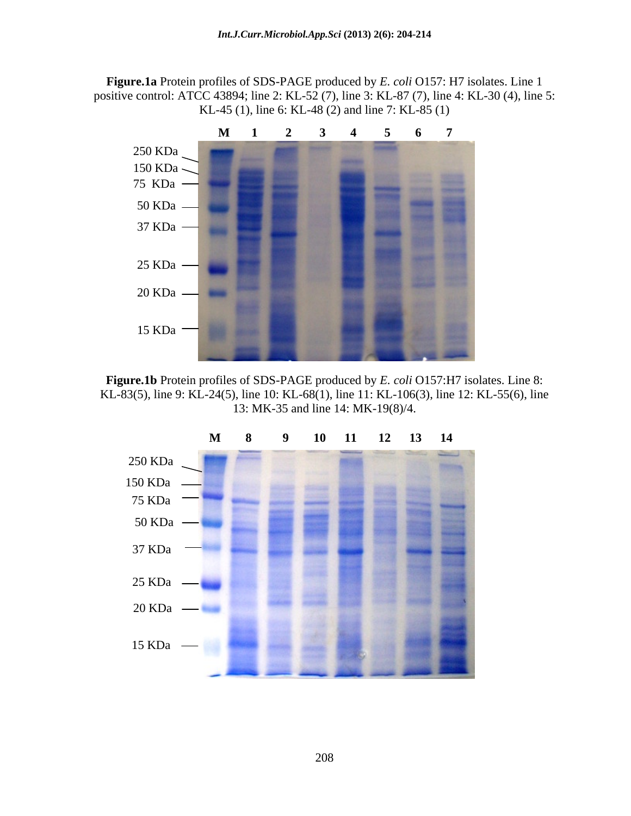**Figure.1a** Protein profiles of SDS-PAGE produced by *E. coli* O157: H7 isolates. Line 1 positive control: ATCC 43894; line 2: KL-52 (7), line 3: KL-87 (7), line 4: KL-30 (4), line 5: KL-45 (1), line 6: KL-48 (2) and line 7: KL-85 (1)



**Figure.1b** Protein profiles of SDS-PAGE produced by *E. coli* O157:H7 isolates. Line 8: KL-83(5), line 9: KL-24(5), line 10: KL-68(1), line 11: KL-106(3), line 12: KL-55(6), line 13: MK-35 and line 14: MK-19(8)/4.

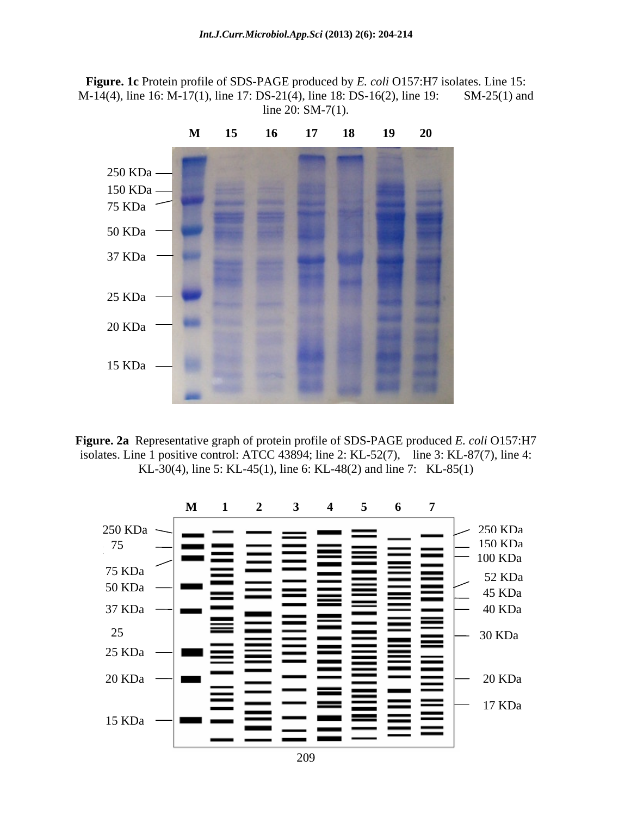**Figure. 1c** Protein profile of SDS-PAGE produced by *E. coli* O157:H7 isolates. Line 15: M-14(4), line 16: M-17(1), line 17: DS-21(4), line 18: DS-16(2), line 19: SM-25(1) and line 20: SM-7(1).



**Figure. 2a** Representative graph of protein profile of SDS-PAGE produced *E. coli* O157:H7 isolates. Line 1 positive control: ATCC 43894; line 2: KL-52(7), line 3: KL-87(7), line 4: KL-30(4), line 5: KL-45(1), line 6: KL-48(2) and line 7: KL-85(1)

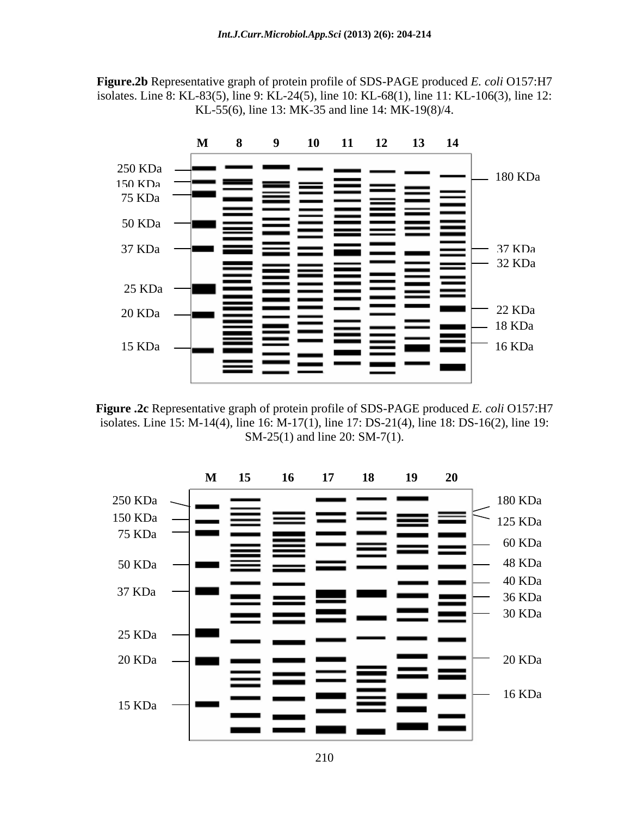



**Figure .2c** Representative graph of protein profile of SDS-PAGE produced *E. coli* O157:H7 isolates. Line 15: M-14(4), line 16: M-17(1), line 17: DS-21(4), line 18: DS-16(2), line 19: SM-25(1) and line 20: SM-7(1).



210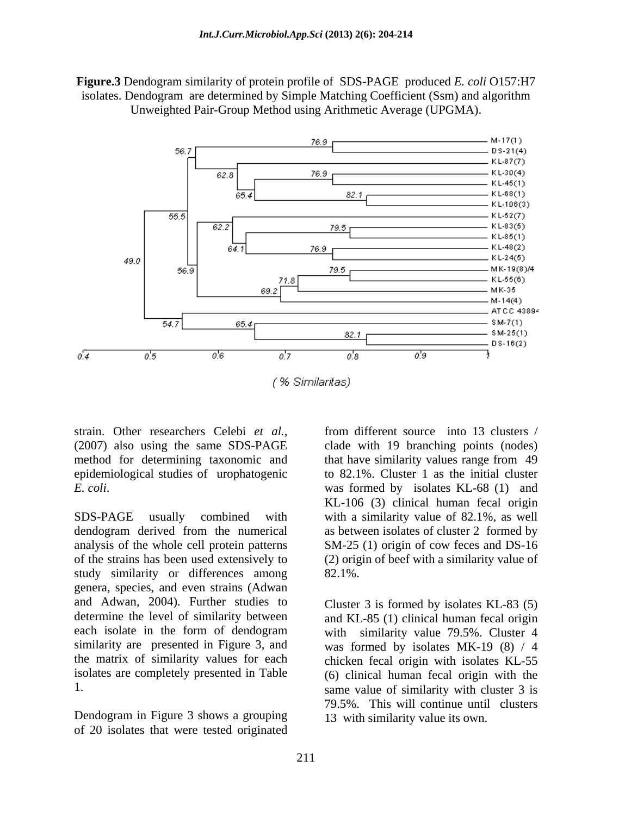**Figure.3** Dendogram similarity of protein profile of SDS-PAGE produced *E. coli* O157:H7 isolates. Dendogram are determined by Simple Matching Coefficient (Ssm) and algorithm Unweighted Pair-Group Method using Arithmetic Average (UPGMA).



method for determining taxonomic and that have similarity values range from 49

SDS-PAGE usually combined with with a similarity value of 82.1%, as well dendogram derived from the numerical analysis of the whole cell protein patterns of the strains has been used extensively to (2) origin of beef with a similarity value of study similarity or differences among 82.1%. genera, species, and even strains (Adwan and Adwan, 2004). Further studies to determine the level of similarity between and KL-85 (1) clinical human fecal origin each isolate in the form of dendogram with similarity value 79.5%. Cluster 4 similarity are presented in Figure 3, and was formed by isolates MK-19 (8) / 4 the matrix of similarity values for each chicken fecal origin with isolates KL-55 isolates are completely presented in Table (6) clinical human fecal origin with the

Dendogram in Figure 3 shows a grouping of 20 isolates that were tested originated

strain. Other researchers Celebi *et al.,* from different source into 13 clusters / (2007) also using the same SDS-PAGE clade with 19 branching points (nodes) epidemiological studies of urophatogenic to 82.1%. Cluster 1 as the initial cluster *E. coli*. was formed by isolates KL-68 (1) and that have similarity values range from 49 KL-106 (3) clinical human fecal origin as between isolates of cluster 2 formed by SM-25 (1) origin of cow feces and DS-16 82.1%.

1. Same value of similarity with cluster 3 is Cluster 3 is formed by isolates KL-83 (5) 79.5%. This will continue until clusters 13 with similarity value its own.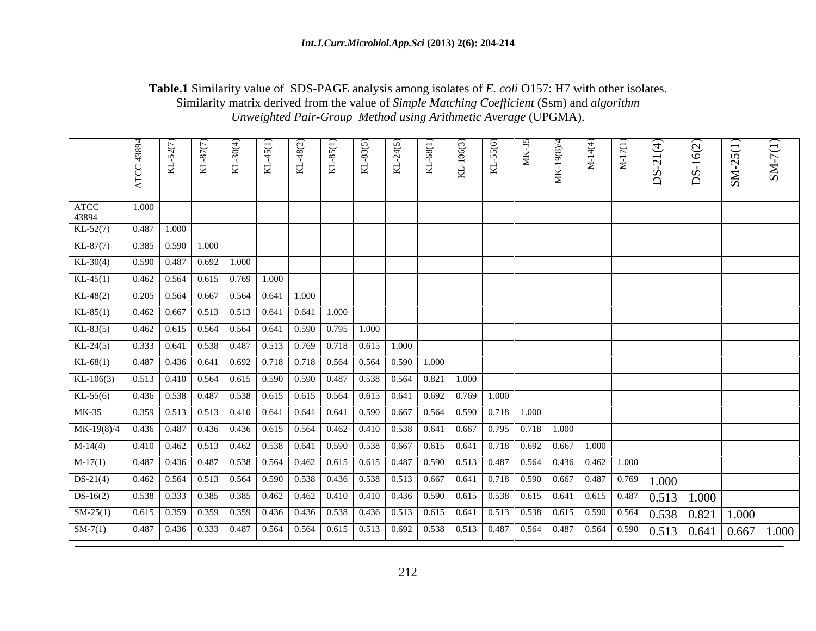### **Table.1** Similarity value of SDS-PAGE analysis among isolates of *E. coli* O157: H7 with other isolates. Similarity matrix derived from the value of *Simple Matching Coefficient* (Ssm) and *algorithm Unweighted Pair-Group Method using Arithmetic Average* (UPGMA).

| ¤   ਬ<br>▏⊠<br>ATCC<br>$\Box$<br>$\boxed{1.000}$<br>$0.487$ 1.000<br>$\mid 0.590 \mid 0.487 \mid 0.692 \mid 1.000 \mid$<br>$0.462$ $0.564$ $0.615$ $0.769$ 1.000<br>$\vert$ 0.359 $\vert$ 0.513 $\vert$ 0.513 $\vert$ 0.410 $\vert$ 0.641 $\vert$ 0.641 $\vert$ 0.641 $\vert$ 0.590 $\vert$ 0.667 $\vert$ 0.564 $\vert$ 0.590 $\vert$ 0.718 $\vert$ 1.000<br>0.487 0.487 0.436 0.333 0.487 0.564 0.564 0.615 0.513 0.692 0.538 0.513 0.487 0.564 0.487 0.564 0.590 0.513 0.641 0.667 1.000 |  |  |  |  |  |  |  |  |
|--------------------------------------------------------------------------------------------------------------------------------------------------------------------------------------------------------------------------------------------------------------------------------------------------------------------------------------------------------------------------------------------------------------------------------------------------------------------------------------------|--|--|--|--|--|--|--|--|
| ATCC<br>$\frac{43894}{KL - 52(7)}$<br>  KL-87(7)   0.385   0.590   1.000  <br>$KL-30(4)$<br>$KL-45(1)$<br>$KL-85(1)$<br>  KL-83(5)   0.462   0.615   0.564   0.564   0.641   0.590   0.795   1.000  <br>MK-35<br>MK-19(8)/4 0.436 0.487 0.436 0.436 0.615 0.564 0.462 0.410 0.538 0.641 0.667 0.795 0.718 1.000<br>$DS-21(4)$<br>$DS-16(2)$<br>$SM-25(1)$<br>$SM-7(1)$                                                                                                                     |  |  |  |  |  |  |  |  |
|                                                                                                                                                                                                                                                                                                                                                                                                                                                                                            |  |  |  |  |  |  |  |  |
| KL-48(2)   0.205   0.564   $\overline{0.667}$   0.564   0.641   1.000  <br>M-17(1) 0.487 0.436 0.487 0.538 0.564 0.462 0.615 0.615 0.487 0.590 0.513 0.487 0.564 0.436 0.462 1.000                                                                                                                                                                                                                                                                                                         |  |  |  |  |  |  |  |  |
|                                                                                                                                                                                                                                                                                                                                                                                                                                                                                            |  |  |  |  |  |  |  |  |
|                                                                                                                                                                                                                                                                                                                                                                                                                                                                                            |  |  |  |  |  |  |  |  |
|                                                                                                                                                                                                                                                                                                                                                                                                                                                                                            |  |  |  |  |  |  |  |  |
|                                                                                                                                                                                                                                                                                                                                                                                                                                                                                            |  |  |  |  |  |  |  |  |
|                                                                                                                                                                                                                                                                                                                                                                                                                                                                                            |  |  |  |  |  |  |  |  |
|                                                                                                                                                                                                                                                                                                                                                                                                                                                                                            |  |  |  |  |  |  |  |  |
|                                                                                                                                                                                                                                                                                                                                                                                                                                                                                            |  |  |  |  |  |  |  |  |
|                                                                                                                                                                                                                                                                                                                                                                                                                                                                                            |  |  |  |  |  |  |  |  |
|                                                                                                                                                                                                                                                                                                                                                                                                                                                                                            |  |  |  |  |  |  |  |  |
|                                                                                                                                                                                                                                                                                                                                                                                                                                                                                            |  |  |  |  |  |  |  |  |
|                                                                                                                                                                                                                                                                                                                                                                                                                                                                                            |  |  |  |  |  |  |  |  |
|                                                                                                                                                                                                                                                                                                                                                                                                                                                                                            |  |  |  |  |  |  |  |  |
|                                                                                                                                                                                                                                                                                                                                                                                                                                                                                            |  |  |  |  |  |  |  |  |
|                                                                                                                                                                                                                                                                                                                                                                                                                                                                                            |  |  |  |  |  |  |  |  |
|                                                                                                                                                                                                                                                                                                                                                                                                                                                                                            |  |  |  |  |  |  |  |  |
|                                                                                                                                                                                                                                                                                                                                                                                                                                                                                            |  |  |  |  |  |  |  |  |
|                                                                                                                                                                                                                                                                                                                                                                                                                                                                                            |  |  |  |  |  |  |  |  |
|                                                                                                                                                                                                                                                                                                                                                                                                                                                                                            |  |  |  |  |  |  |  |  |
|                                                                                                                                                                                                                                                                                                                                                                                                                                                                                            |  |  |  |  |  |  |  |  |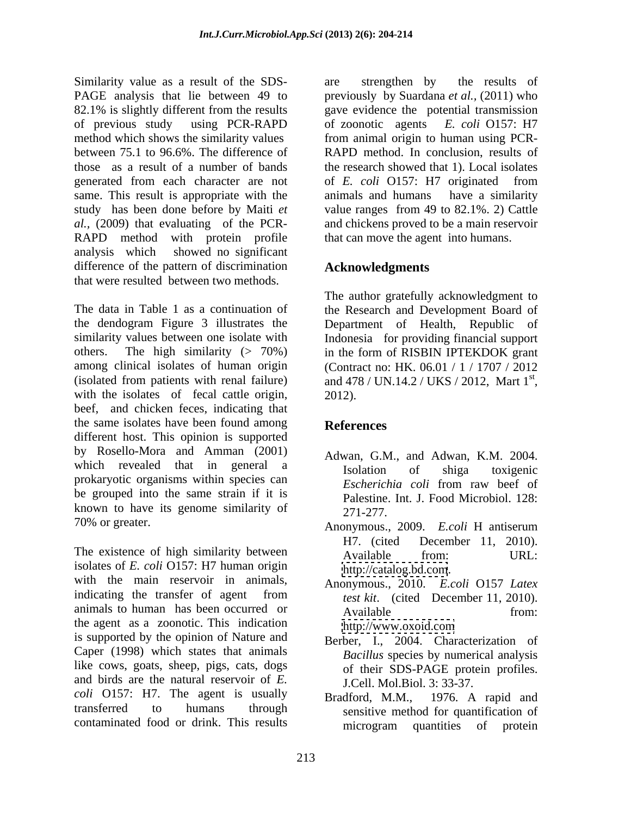Similarity value as a result of the SDS- are strengthen by the results of PAGE analysis that lie between 49 to previously by Suardana *et al.,* (2011) who 82.1% is slightly different from the results gave evidence the potential transmission of previous study using PCR-RAPD of zoonotic agents E. coli O157: H7 method which shows the similarity values from animal origin to human using PCR between 75.1 to 96.6%. The difference of RAPD method. In conclusion, results of those as a result of a number of bands the research showed that 1). Local isolates generated from each character are not of *E. coli* O157: H7 originated from same. This result is appropriate with the animals and humans have a similarity study has been done before by Maiti *et*  value ranges from 49 to 82.1%. 2) Cattle *al.,* (2009) that evaluating of the PCR- and chickens proved to be a main reservoir RAPD method with protein profile analysis which showed no significant difference of the pattern of discrimination **Acknowledgments** that were resulted between two methods.

The data in Table 1 as a continuation of the Research and Development Board of the dendogram Figure 3 illustrates the Department of Health, Republic of similarity values between one isolate with Indonesia for providing financial support others. The high similarity (> 70%) in the form of RISBIN IPTEKDOK grant among clinical isolates of human origin (Contract no: HK. 06.01 / 1 / 1707 / 2012 (isolated from patients with renal failure) and  $478 / UN.14.2 / UKS / 2012$ , Mart 1<sup>st</sup>, with the isolates of fecal cattle origin, 2012). with the isolates of fecal cattle origin, 2012). beef, and chicken feces, indicating that the same isolates have been found among **References** different host. This opinion is supported by Rosello-Mora and Amman (2001) which revealed that in general a series isolation of shiga toxigenic prokaryotic organisms within species can<br>Escherichia coli from raw beef of be grouped into the same strain if it is known to have its genome similarity of  $271-277$ .

The existence of high similarity between Available from: URL: isolates of *E. coli* O157: H7 human origin with the main reservoir in animals, indicating the transfer of agent from animals to human has been occurred or Available **Solution** from: the agent as a zoonotic. This indication http://www.oxoid.com is supported by the opinion of Nature and Caper (1998) which states that animals like cows, goats, sheep, pigs, cats, dogs and birds are the natural reservoir of *E. coli* O157: H7. The agent is usually **Bradford**, M.M., 1976. A rapid and transferred to humans through sensitive method for quantification of

are strengthen by the results of of zoonotic agents *E. coli* O157: H7 animals and humans have a similarity that can move the agent into humans.

# **Acknowledgments**

The author gratefully acknowledgment to

### **References**

- Adwan, G.M., and Adwan, K.M. 2004. Isolation of shiga toxigenic *Escherichia coli* from raw beef of Palestine. Int. J. Food Microbiol. 128: 271-277.
- 70% or greater. Anonymous., 2009. *E.coli* H antiserum H7. (cited December 11, 2010). Available from: URL: <http://catalog.bd.com>.
	- Anonymous., 2010. *E.coli* O157 *Latex test kit*. (cited December 11, 2010). Available from: <http://www.oxoid.com>
	- Berber, I., 2004. Characterization of *Bacillus* species by numerical analysis of their SDS-PAGE protein profiles. J.Cell. Mol.Biol. 3: 33-37.
- contaminated food or drink. This results microgram quantities of protein Bradford, M.M., 1976. A rapid and microgram quantities of protein